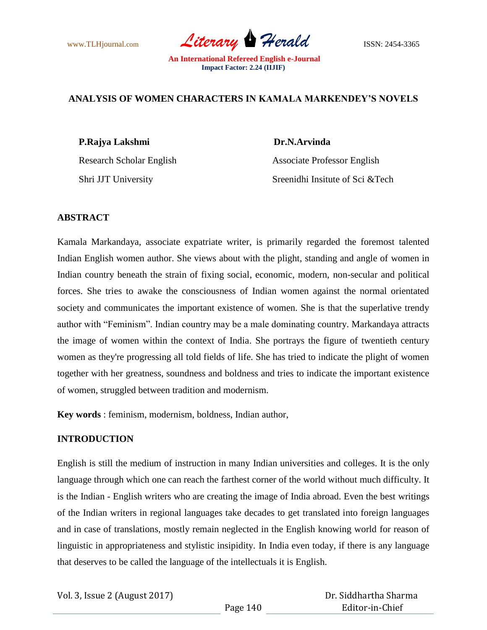www.TLHjournal.com *Literary Herald* ISSN: 2454-3365

## **ANALYSIS OF WOMEN CHARACTERS IN KAMALA MARKENDEY'S NOVELS**

## **P.Rajya Lakshmi Dr.N.Arvinda**

Research Scholar English Associate Professor English Shri JJT University Sreenidhi Insitute of Sci &Tech

## **ABSTRACT**

Kamala Markandaya, associate expatriate writer, is primarily regarded the foremost talented Indian English women author. She views about with the plight, standing and angle of women in Indian country beneath the strain of fixing social, economic, modern, non-secular and political forces. She tries to awake the consciousness of Indian women against the normal orientated society and communicates the important existence of women. She is that the superlative trendy author with "Feminism". Indian country may be a male dominating country. Markandaya attracts the image of women within the context of India. She portrays the figure of twentieth century women as they're progressing all told fields of life. She has tried to indicate the plight of women together with her greatness, soundness and boldness and tries to indicate the important existence of women, struggled between tradition and modernism.

**Key words** : feminism, modernism, boldness, Indian author,

# **INTRODUCTION**

English is still the medium of instruction in many Indian universities and colleges. It is the only language through which one can reach the farthest corner of the world without much difficulty. It is the Indian - English writers who are creating the image of India abroad. Even the best writings of the Indian writers in regional languages take decades to get translated into foreign languages and in case of translations, mostly remain neglected in the English knowing world for reason of linguistic in appropriateness and stylistic insipidity. In India even today, if there is any language that deserves to be called the language of the intellectuals it is English.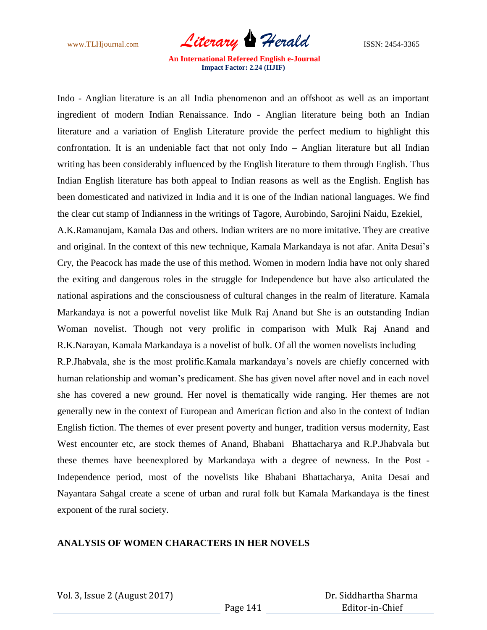www.TLHjournal.com *Literary Herald* **ISSN: 2454-3365** 

Indo - Anglian literature is an all India phenomenon and an offshoot as well as an important ingredient of modern Indian Renaissance. Indo - Anglian literature being both an Indian literature and a variation of English Literature provide the perfect medium to highlight this confrontation. It is an undeniable fact that not only Indo – Anglian literature but all Indian writing has been considerably influenced by the English literature to them through English. Thus Indian English literature has both appeal to Indian reasons as well as the English. English has been domesticated and nativized in India and it is one of the Indian national languages. We find the clear cut stamp of Indianness in the writings of Tagore, Aurobindo, Sarojini Naidu, Ezekiel,

A.K.Ramanujam, Kamala Das and others. Indian writers are no more imitative. They are creative and original. In the context of this new technique, Kamala Markandaya is not afar. Anita Desai"s Cry, the Peacock has made the use of this method. Women in modern India have not only shared the exiting and dangerous roles in the struggle for Independence but have also articulated the national aspirations and the consciousness of cultural changes in the realm of literature. Kamala Markandaya is not a powerful novelist like Mulk Raj Anand but She is an outstanding Indian Woman novelist. Though not very prolific in comparison with Mulk Raj Anand and R.K.Narayan, Kamala Markandaya is a novelist of bulk. Of all the women novelists including

R.P.Jhabvala, she is the most prolific.Kamala markandaya"s novels are chiefly concerned with human relationship and woman"s predicament. She has given novel after novel and in each novel she has covered a new ground. Her novel is thematically wide ranging. Her themes are not generally new in the context of European and American fiction and also in the context of Indian English fiction. The themes of ever present poverty and hunger, tradition versus modernity, East West encounter etc, are stock themes of Anand, Bhabani Bhattacharya and R.P.Jhabvala but these themes have beenexplored by Markandaya with a degree of newness. In the Post - Independence period, most of the novelists like Bhabani Bhattacharya, Anita Desai and Nayantara Sahgal create a scene of urban and rural folk but Kamala Markandaya is the finest exponent of the rural society.

## **ANALYSIS OF WOMEN CHARACTERS IN HER NOVELS**

Vol. 3, Issue 2 (August 2017)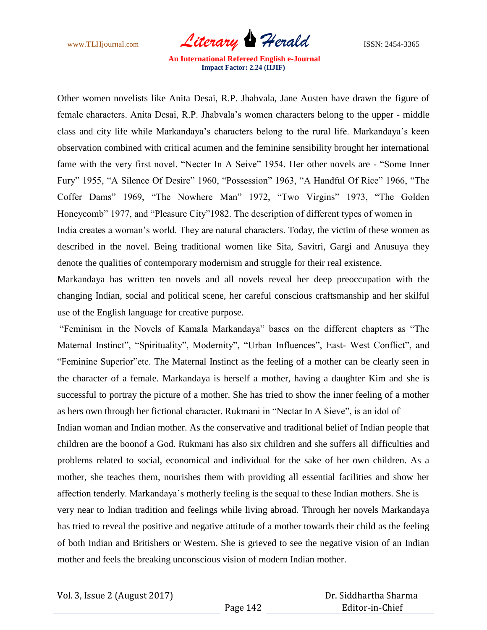www.TLHjournal.com *Literary Herald* ISSN: 2454-3365

Other women novelists like Anita Desai, R.P. Jhabvala, Jane Austen have drawn the figure of female characters. Anita Desai, R.P. Jhabvala"s women characters belong to the upper - middle class and city life while Markandaya"s characters belong to the rural life. Markandaya"s keen observation combined with critical acumen and the feminine sensibility brought her international fame with the very first novel. "Necter In A Seive" 1954. Her other novels are - "Some Inner Fury" 1955, "A Silence Of Desire" 1960, "Possession" 1963, "A Handful Of Rice" 1966, "The Coffer Dams" 1969, "The Nowhere Man" 1972, "Two Virgins" 1973, "The Golden Honeycomb" 1977, and "Pleasure City"1982. The description of different types of women in India creates a woman's world. They are natural characters. Today, the victim of these women as described in the novel. Being traditional women like Sita, Savitri, Gargi and Anusuya they denote the qualities of contemporary modernism and struggle for their real existence.

Markandaya has written ten novels and all novels reveal her deep preoccupation with the changing Indian, social and political scene, her careful conscious craftsmanship and her skilful use of the English language for creative purpose.

"Feminism in the Novels of Kamala Markandaya" bases on the different chapters as "The Maternal Instinct", "Spirituality", Modernity", "Urban Influences", East- West Conflict", and "Feminine Superior"etc. The Maternal Instinct as the feeling of a mother can be clearly seen in the character of a female. Markandaya is herself a mother, having a daughter Kim and she is successful to portray the picture of a mother. She has tried to show the inner feeling of a mother as hers own through her fictional character. Rukmani in "Nectar In A Sieve", is an idol of Indian woman and Indian mother. As the conservative and traditional belief of Indian people that children are the boonof a God. Rukmani has also six children and she suffers all difficulties and problems related to social, economical and individual for the sake of her own children. As a mother, she teaches them, nourishes them with providing all essential facilities and show her affection tenderly. Markandaya"s motherly feeling is the sequal to these Indian mothers. She is very near to Indian tradition and feelings while living abroad. Through her novels Markandaya has tried to reveal the positive and negative attitude of a mother towards their child as the feeling of both Indian and Britishers or Western. She is grieved to see the negative vision of an Indian mother and feels the breaking unconscious vision of modern Indian mother.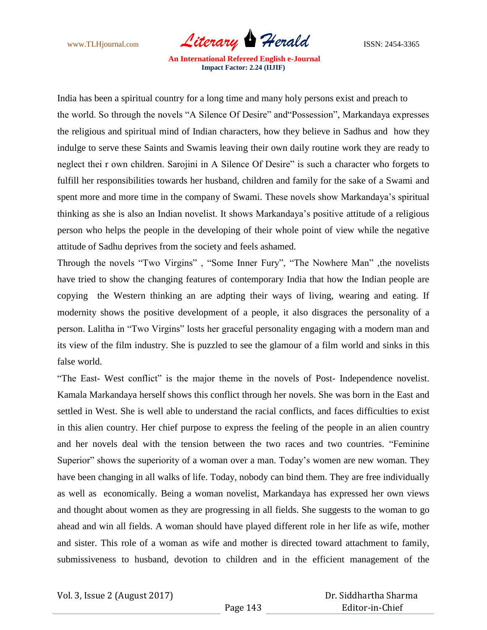www.TLHjournal.com *Literary Herald* ISSN: 2454-3365

India has been a spiritual country for a long time and many holy persons exist and preach to the world. So through the novels "A Silence Of Desire" and"Possession", Markandaya expresses the religious and spiritual mind of Indian characters, how they believe in Sadhus and how they indulge to serve these Saints and Swamis leaving their own daily routine work they are ready to neglect thei r own children. Sarojini in A Silence Of Desire" is such a character who forgets to fulfill her responsibilities towards her husband, children and family for the sake of a Swami and spent more and more time in the company of Swami. These novels show Markandaya"s spiritual thinking as she is also an Indian novelist. It shows Markandaya"s positive attitude of a religious person who helps the people in the developing of their whole point of view while the negative attitude of Sadhu deprives from the society and feels ashamed.

Through the novels "Two Virgins" , "Some Inner Fury", "The Nowhere Man" ,the novelists have tried to show the changing features of contemporary India that how the Indian people are copying the Western thinking an are adpting their ways of living, wearing and eating. If modernity shows the positive development of a people, it also disgraces the personality of a person. Lalitha in "Two Virgins" losts her graceful personality engaging with a modern man and its view of the film industry. She is puzzled to see the glamour of a film world and sinks in this false world.

"The East- West conflict" is the major theme in the novels of Post- Independence novelist. Kamala Markandaya herself shows this conflict through her novels. She was born in the East and settled in West. She is well able to understand the racial conflicts, and faces difficulties to exist in this alien country. Her chief purpose to express the feeling of the people in an alien country and her novels deal with the tension between the two races and two countries. "Feminine Superior" shows the superiority of a woman over a man. Today's women are new woman. They have been changing in all walks of life. Today, nobody can bind them. They are free individually as well as economically. Being a woman novelist, Markandaya has expressed her own views and thought about women as they are progressing in all fields. She suggests to the woman to go ahead and win all fields. A woman should have played different role in her life as wife, mother and sister. This role of a woman as wife and mother is directed toward attachment to family, submissiveness to husband, devotion to children and in the efficient management of the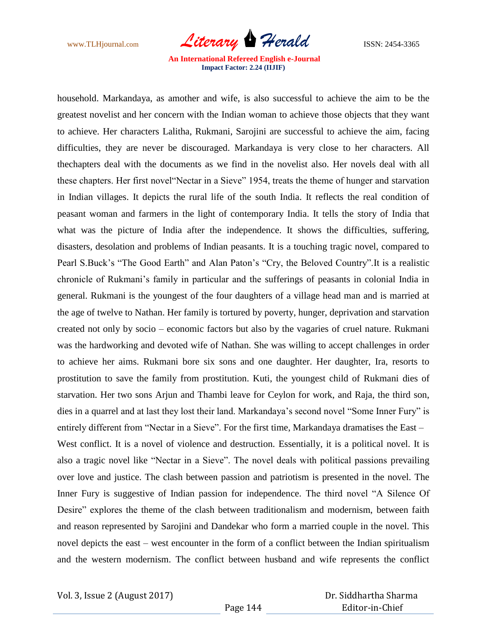

household. Markandaya, as amother and wife, is also successful to achieve the aim to be the greatest novelist and her concern with the Indian woman to achieve those objects that they want to achieve. Her characters Lalitha, Rukmani, Sarojini are successful to achieve the aim, facing difficulties, they are never be discouraged. Markandaya is very close to her characters. All thechapters deal with the documents as we find in the novelist also. Her novels deal with all these chapters. Her first novel"Nectar in a Sieve" 1954, treats the theme of hunger and starvation in Indian villages. It depicts the rural life of the south India. It reflects the real condition of peasant woman and farmers in the light of contemporary India. It tells the story of India that what was the picture of India after the independence. It shows the difficulties, suffering, disasters, desolation and problems of Indian peasants. It is a touching tragic novel, compared to Pearl S.Buck's "The Good Earth" and Alan Paton's "Cry, the Beloved Country". It is a realistic chronicle of Rukmani"s family in particular and the sufferings of peasants in colonial India in general. Rukmani is the youngest of the four daughters of a village head man and is married at the age of twelve to Nathan. Her family is tortured by poverty, hunger, deprivation and starvation created not only by socio – economic factors but also by the vagaries of cruel nature. Rukmani was the hardworking and devoted wife of Nathan. She was willing to accept challenges in order to achieve her aims. Rukmani bore six sons and one daughter. Her daughter, Ira, resorts to prostitution to save the family from prostitution. Kuti, the youngest child of Rukmani dies of starvation. Her two sons Arjun and Thambi leave for Ceylon for work, and Raja, the third son, dies in a quarrel and at last they lost their land. Markandaya"s second novel "Some Inner Fury" is entirely different from "Nectar in a Sieve". For the first time, Markandaya dramatises the East – West conflict. It is a novel of violence and destruction. Essentially, it is a political novel. It is also a tragic novel like "Nectar in a Sieve". The novel deals with political passions prevailing over love and justice. The clash between passion and patriotism is presented in the novel. The Inner Fury is suggestive of Indian passion for independence. The third novel "A Silence Of Desire" explores the theme of the clash between traditionalism and modernism, between faith and reason represented by Sarojini and Dandekar who form a married couple in the novel. This novel depicts the east – west encounter in the form of a conflict between the Indian spiritualism and the western modernism. The conflict between husband and wife represents the conflict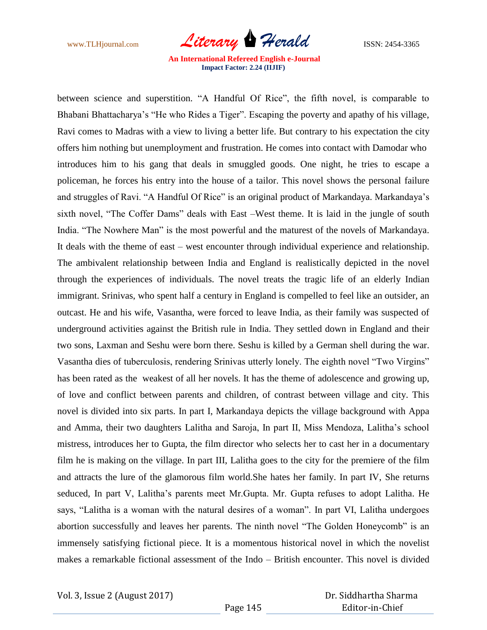www.TLHjournal.com *Literary Herald* ISSN: 2454-3365

between science and superstition. "A Handful Of Rice", the fifth novel, is comparable to Bhabani Bhattacharya's "He who Rides a Tiger". Escaping the poverty and apathy of his village, Ravi comes to Madras with a view to living a better life. But contrary to his expectation the city offers him nothing but unemployment and frustration. He comes into contact with Damodar who introduces him to his gang that deals in smuggled goods. One night, he tries to escape a policeman, he forces his entry into the house of a tailor. This novel shows the personal failure and struggles of Ravi. "A Handful Of Rice" is an original product of Markandaya. Markandaya"s sixth novel, "The Coffer Dams" deals with East –West theme. It is laid in the jungle of south India. "The Nowhere Man" is the most powerful and the maturest of the novels of Markandaya. It deals with the theme of east – west encounter through individual experience and relationship. The ambivalent relationship between India and England is realistically depicted in the novel through the experiences of individuals. The novel treats the tragic life of an elderly Indian immigrant. Srinivas, who spent half a century in England is compelled to feel like an outsider, an outcast. He and his wife, Vasantha, were forced to leave India, as their family was suspected of underground activities against the British rule in India. They settled down in England and their two sons, Laxman and Seshu were born there. Seshu is killed by a German shell during the war. Vasantha dies of tuberculosis, rendering Srinivas utterly lonely. The eighth novel "Two Virgins" has been rated as the weakest of all her novels. It has the theme of adolescence and growing up, of love and conflict between parents and children, of contrast between village and city. This novel is divided into six parts. In part I, Markandaya depicts the village background with Appa and Amma, their two daughters Lalitha and Saroja, In part II, Miss Mendoza, Lalitha"s school mistress, introduces her to Gupta, the film director who selects her to cast her in a documentary film he is making on the village. In part III, Lalitha goes to the city for the premiere of the film and attracts the lure of the glamorous film world.She hates her family. In part IV, She returns seduced, In part V, Lalitha"s parents meet Mr.Gupta. Mr. Gupta refuses to adopt Lalitha. He says, "Lalitha is a woman with the natural desires of a woman". In part VI, Lalitha undergoes abortion successfully and leaves her parents. The ninth novel "The Golden Honeycomb" is an immensely satisfying fictional piece. It is a momentous historical novel in which the novelist makes a remarkable fictional assessment of the Indo – British encounter. This novel is divided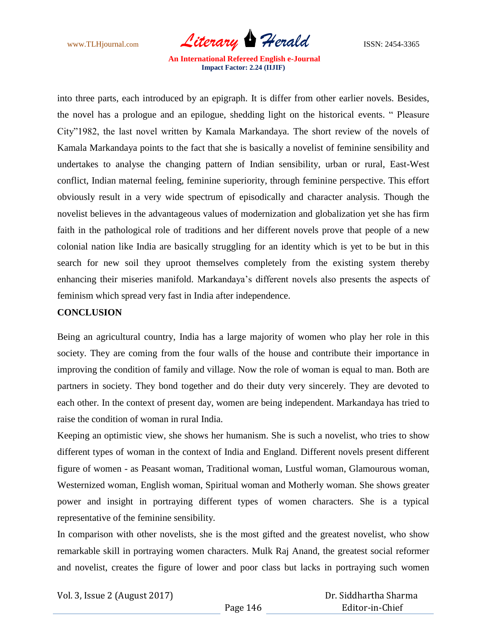www.TLHjournal.com *Literary Herald* ISSN: 2454-3365

into three parts, each introduced by an epigraph. It is differ from other earlier novels. Besides, the novel has a prologue and an epilogue, shedding light on the historical events. " Pleasure City"1982, the last novel written by Kamala Markandaya. The short review of the novels of Kamala Markandaya points to the fact that she is basically a novelist of feminine sensibility and undertakes to analyse the changing pattern of Indian sensibility, urban or rural, East-West conflict, Indian maternal feeling, feminine superiority, through feminine perspective. This effort obviously result in a very wide spectrum of episodically and character analysis. Though the novelist believes in the advantageous values of modernization and globalization yet she has firm faith in the pathological role of traditions and her different novels prove that people of a new colonial nation like India are basically struggling for an identity which is yet to be but in this search for new soil they uproot themselves completely from the existing system thereby enhancing their miseries manifold. Markandaya"s different novels also presents the aspects of feminism which spread very fast in India after independence.

## **CONCLUSION**

Being an agricultural country, India has a large majority of women who play her role in this society. They are coming from the four walls of the house and contribute their importance in improving the condition of family and village. Now the role of woman is equal to man. Both are partners in society. They bond together and do their duty very sincerely. They are devoted to each other. In the context of present day, women are being independent. Markandaya has tried to raise the condition of woman in rural India.

Keeping an optimistic view, she shows her humanism. She is such a novelist, who tries to show different types of woman in the context of India and England. Different novels present different figure of women - as Peasant woman, Traditional woman, Lustful woman, Glamourous woman, Westernized woman, English woman, Spiritual woman and Motherly woman. She shows greater power and insight in portraying different types of women characters. She is a typical representative of the feminine sensibility.

In comparison with other novelists, she is the most gifted and the greatest novelist, who show remarkable skill in portraying women characters. Mulk Raj Anand, the greatest social reformer and novelist, creates the figure of lower and poor class but lacks in portraying such women

Vol. 3, Issue 2 (August 2017)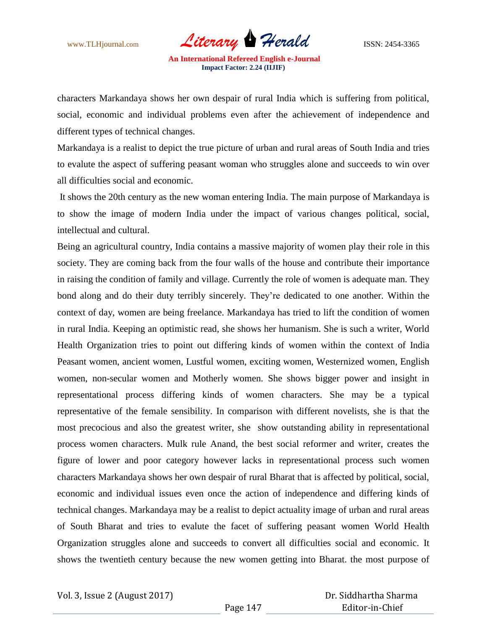www.TLHjournal.com *Literary Herald* ISSN: 2454-3365

characters Markandaya shows her own despair of rural India which is suffering from political, social, economic and individual problems even after the achievement of independence and different types of technical changes.

Markandaya is a realist to depict the true picture of urban and rural areas of South India and tries to evalute the aspect of suffering peasant woman who struggles alone and succeeds to win over all difficulties social and economic.

It shows the 20th century as the new woman entering India. The main purpose of Markandaya is to show the image of modern India under the impact of various changes political, social, intellectual and cultural.

Being an agricultural country, India contains a massive majority of women play their role in this society. They are coming back from the four walls of the house and contribute their importance in raising the condition of family and village. Currently the role of women is adequate man. They bond along and do their duty terribly sincerely. They"re dedicated to one another. Within the context of day, women are being freelance. Markandaya has tried to lift the condition of women in rural India. Keeping an optimistic read, she shows her humanism. She is such a writer, World Health Organization tries to point out differing kinds of women within the context of India Peasant women, ancient women, Lustful women, exciting women, Westernized women, English women, non-secular women and Motherly women. She shows bigger power and insight in representational process differing kinds of women characters. She may be a typical representative of the female sensibility. In comparison with different novelists, she is that the most precocious and also the greatest writer, she show outstanding ability in representational process women characters. Mulk rule Anand, the best social reformer and writer, creates the figure of lower and poor category however lacks in representational process such women characters Markandaya shows her own despair of rural Bharat that is affected by political, social, economic and individual issues even once the action of independence and differing kinds of technical changes. Markandaya may be a realist to depict actuality image of urban and rural areas of South Bharat and tries to evalute the facet of suffering peasant women World Health Organization struggles alone and succeeds to convert all difficulties social and economic. It shows the twentieth century because the new women getting into Bharat. the most purpose of